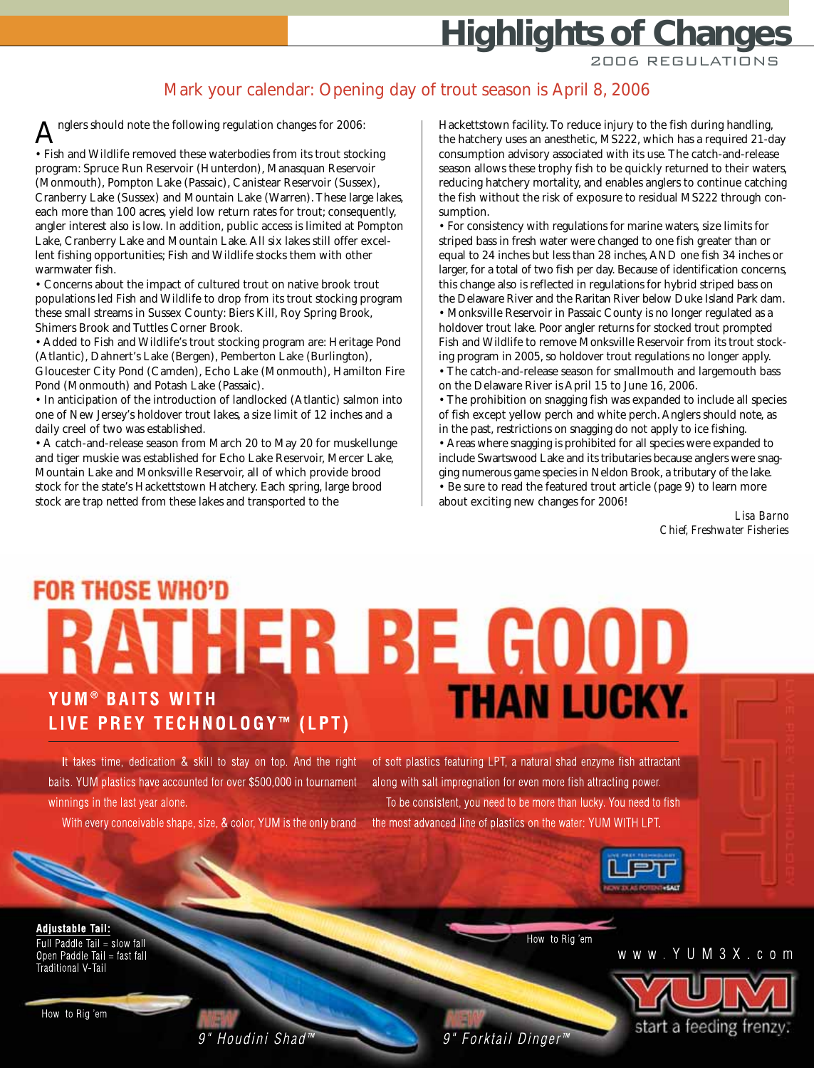# **Highlights of Changes**

2006 REGULATIONS

#### Mark your calendar: Opening day of trout season is April 8, 2006

nglers should note the following regulation changes for 2006: • Fish and Wildlife removed these waterbodies from its trout stocking program: Spruce Run Reservoir (Hunterdon), Manasquan Reservoir (Monmouth), Pompton Lake (Passaic), Canistear Reservoir (Sussex), Cranberry Lake (Sussex) and Mountain Lake (Warren). These large lakes, each more than 100 acres, yield low return rates for trout; consequently, angler interest also is low. In addition, public access is limited at Pompton Lake, Cranberry Lake and Mountain Lake. All six lakes still offer excellent fishing opportunities; Fish and Wildlife stocks them with other warmwater fish.

• Concerns about the impact of cultured trout on native brook trout populations led Fish and Wildlife to drop from its trout stocking program these small streams in Sussex County: Biers Kill, Roy Spring Brook, Shimers Brook and Tuttles Corner Brook.

• Added to Fish and Wildlife's trout stocking program are: Heritage Pond (Atlantic), Dahnert's Lake (Bergen), Pemberton Lake (Burlington), Gloucester City Pond (Camden), Echo Lake (Monmouth), Hamilton Fire Pond (Monmouth) and Potash Lake (Passaic).

• In anticipation of the introduction of landlocked (Atlantic) salmon into one of New Jersey's holdover trout lakes, a size limit of 12 inches and a daily creel of two was established.

• A catch-and-release season from March 20 to May 20 for muskellunge and tiger muskie was established for Echo Lake Reservoir, Mercer Lake, Mountain Lake and Monksville Reservoir, all of which provide brood stock for the state's Hackettstown Hatchery. Each spring, large brood stock are trap netted from these lakes and transported to the

Hackettstown facility. To reduce injury to the fish during handling, the hatchery uses an anesthetic, MS222, which has a required 21-day consumption advisory associated with its use. The catch-and-release season allows these trophy fish to be quickly returned to their waters, reducing hatchery mortality, and enables anglers to continue catching the fish without the risk of exposure to residual MS222 through consumption.

• For consistency with regulations for marine waters, size limits for striped bass in fresh water were changed to one fish greater than or equal to 24 inches but less than 28 inches, AND one fish 34 inches or larger, for a total of two fish per day. Because of identification concerns, this change also is reflected in regulations for hybrid striped bass on the Delaware River and the Raritan River below Duke Island Park dam. • Monksville Reservoir in Passaic County is no longer regulated as a holdover trout lake. Poor angler returns for stocked trout prompted Fish and Wildlife to remove Monksville Reservoir from its trout stocking program in 2005, so holdover trout regulations no longer apply.

• The catch-and-release season for smallmouth and largemouth bass on the Delaware River is April 15 to June 16, 2006.

• The prohibition on snagging fish was expanded to include all species of fish except yellow perch and white perch. Anglers should note, as in the past, restrictions on snagging do not apply to ice fishing.

• Areas where snagging is prohibited for all species were expanded to include Swartswood Lake and its tributaries because anglers were snagging numerous game species in Neldon Brook, a tributary of the lake. • Be sure to read the featured trout article (page 9) to learn more about exciting new changes for 2006!

> *Lisa Barno Chief, Freshwater Fisheries*

## **FOR THOSE WHO'D RATHER BE GOOD THAN LUCKY.** YUM<sup>®</sup> BAITS WITH LIVE PREY TECHNOLOGY™ (LPT)

It takes time, dedication & skill to stay on top. And the right baits. YUM plastics have accounted for over \$500,000 in tournament winnings in the last year alone.

With every conceivable shape, size, & color, YUM is the only brand

of soft plastics featuring LPT, a natural shad enzyme fish attractant along with salt impregnation for even more fish attracting power. To be consistent, you need to be more than lucky. You need to fish the most advanced line of plastics on the water: YUM WITH LPT.

Forktail Dinger



How to Rig 'em

www.YUM3X.com



**Adjustable Tail:** Full Paddle Tail = slow fall Open Paddle Tail = fast fall Traditional V-Tail

How to Rig 'em

9" Houdini Shad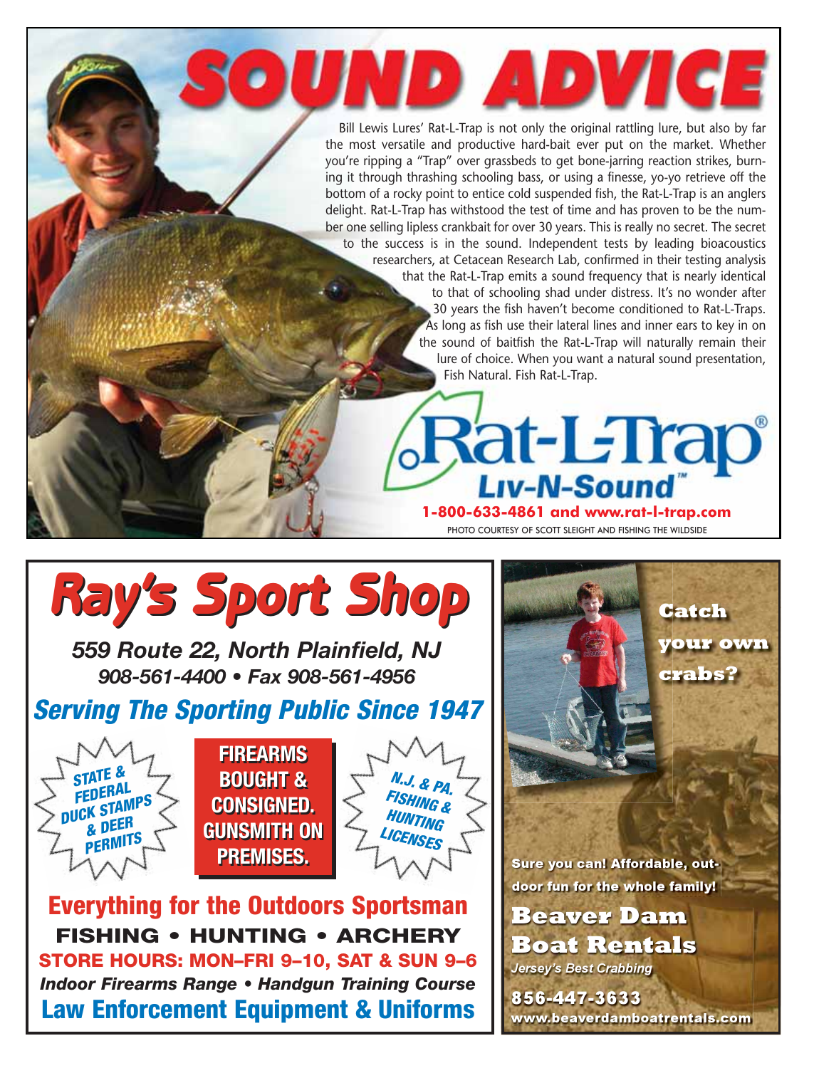Bill Lewis Lures' Rat-L-Trap is not only the original rattling lure, but also by far the most versatile and productive hard-bait ever put on the market. Whether you're ripping a "Trap" over grassbeds to get bone-jarring reaction strikes, burning it through thrashing schooling bass, or using a finesse, yo-yo retrieve off the bottom of a rocky point to entice cold suspended fish, the Rat-L-Trap is an anglers delight. Rat-L-Trap has withstood the test of time and has proven to be the number one selling lipless crankbait for over 30 years. This is really no secret. The secret to the success is in the sound. Independent tests by leading bioacoustics researchers, at Cetacean Research Lab, confirmed in their testing analysis that the Rat-L-Trap emits a sound frequency that is nearly identical to that of schooling shad under distress. It's no wonder after 30 years the fish haven't become conditioned to Rat-L-Traps. As long as fish use their lateral lines and inner ears to key in on the sound of baitfish the Rat-L-Trap will naturally remain their lure of choice. When you want a natural sound presentation, Fish Natural. Fish Rat-L-Trap.

SOUND ADVICE

**1-800-633-4861 and www.rat-l-trap.com**  PHOTO COURTESY OF SCOTT SLEIGHT AND FISHING THE WILDSIDE

Rat-L-Trap

# *Ray's Sport Shop Ray's Sport Shop*

*559 Route 22, North Plainfield, NJ 908-561-4400 • Fax 908-561-4956*

### **Serving The Sporting Public Since 1947**







**Everything for the Outdoors Sportsman FISHING • HUNTING • ARCHERY STORE HOURS: MON–FRI 9–10, SAT & SUN 9–6** *Indoor Firearms Range • Handgun Training Course* **Law Enforcement Equipment & Uniforms**

Sure you can! Affordable, outdoor fun for the whole family!

**Catch** 

crabs?

your own

**Beaver Dam Boat Rentals Jersey's Best Crabbing** 

856-447-3633 www.beaverdamboatrentals.com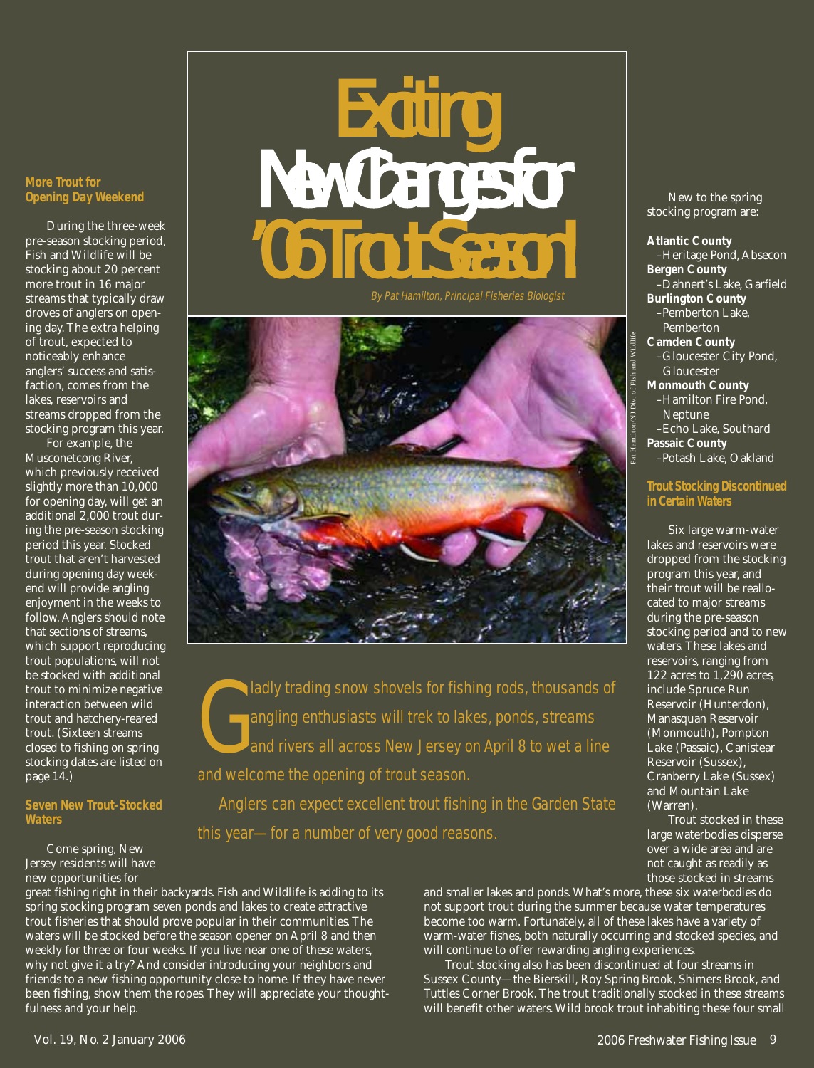# New Changes for

By Pat Hamilton, Principal Fisheries Biologist



G ladly trading snow shovels for fishing rods, thousands of angling enthusiasts will trek to lakes, ponds, streams and rivers all across New Jersey on April 8 to wet a line and welcome the opening of trout season.

Anglers can expect excellent trout fishing in the Garden State this year—for a number of very good reasons.

great fishing right in their backyards. Fish and Wildlife is adding to its spring stocking program seven ponds and lakes to create attractive trout fisheries that should prove popular in their communities. The waters will be stocked before the season opener on April 8 and then weekly for three or four weeks. If you live near one of these waters, why not give it a try? And consider introducing your neighbors and friends to a new fishing opportunity close to home. If they have never been fishing, show them the ropes. They will appreciate your thoughtfulness and your help.

and smaller lakes and ponds. What's more, these six waterbodies do not support trout during the summer because water temperatures become too warm. Fortunately, all of these lakes have a variety of warm-water fishes, both naturally occurring and stocked species, and will continue to offer rewarding angling experiences.

Trout stocking also has been discontinued at four streams in Sussex County—the Bierskill, Roy Spring Brook, Shimers Brook, and Tuttles Corner Brook. The trout traditionally stocked in these streams will benefit other waters. Wild brook trout inhabiting these four small

New to the spring stocking program are:

**Atlantic County** –Heritage Pond, Absecon **Bergen County** –Dahnert's Lake, Garfield **Burlington County** –Pemberton Lake, Pemberton **Camden County** –Gloucester City Pond, Gloucester **Monmouth County** –Hamilton Fire Pond, Neptune –Echo Lake, Southard **Passaic County** –Potash Lake, Oakland

#### **Trout Stocking Discontinued in Certain Waters**

Six large warm-water lakes and reservoirs were dropped from the stocking program this year, and their trout will be reallocated to major streams during the pre-season stocking period and to new waters. These lakes and reservoirs, ranging from 122 acres to 1,290 acres, include Spruce Run Reservoir (Hunterdon), Manasquan Reservoir (Monmouth), Pompton Lake (Passaic), Canistear Reservoir (Sussex), Cranberry Lake (Sussex) and Mountain Lake (Warren).

Trout stocked in these large waterbodies disperse over a wide area and are not caught as readily as those stocked in streams

page 14.)

**Waters**

**Seven New Trout-Stocked**

Come spring, New Jersey residents will have new opportunities for

**More Trout for Opening Day Weekend**

During the three-week pre-season stocking period, Fish and Wildlife will be stocking about 20 percent more trout in 16 major streams that typically draw droves of anglers on opening day. The extra helping of trout, expected to noticeably enhance anglers' success and satisfaction, comes from the lakes, reservoirs and streams dropped from the stocking program this year. For example, the Musconetcong River, which previously received slightly more than 10,000 for opening day, will get an additional 2,000 trout during the pre-season stocking period this year. Stocked trout that aren't harvested during opening day weekend will provide angling enjoyment in the weeks to follow. Anglers should note that sections of streams, which support reproducing trout populations, will not be stocked with additional trout to minimize negative interaction between wild trout and hatchery-reared trout. (Sixteen streams closed to fishing on spring stocking dates are listed on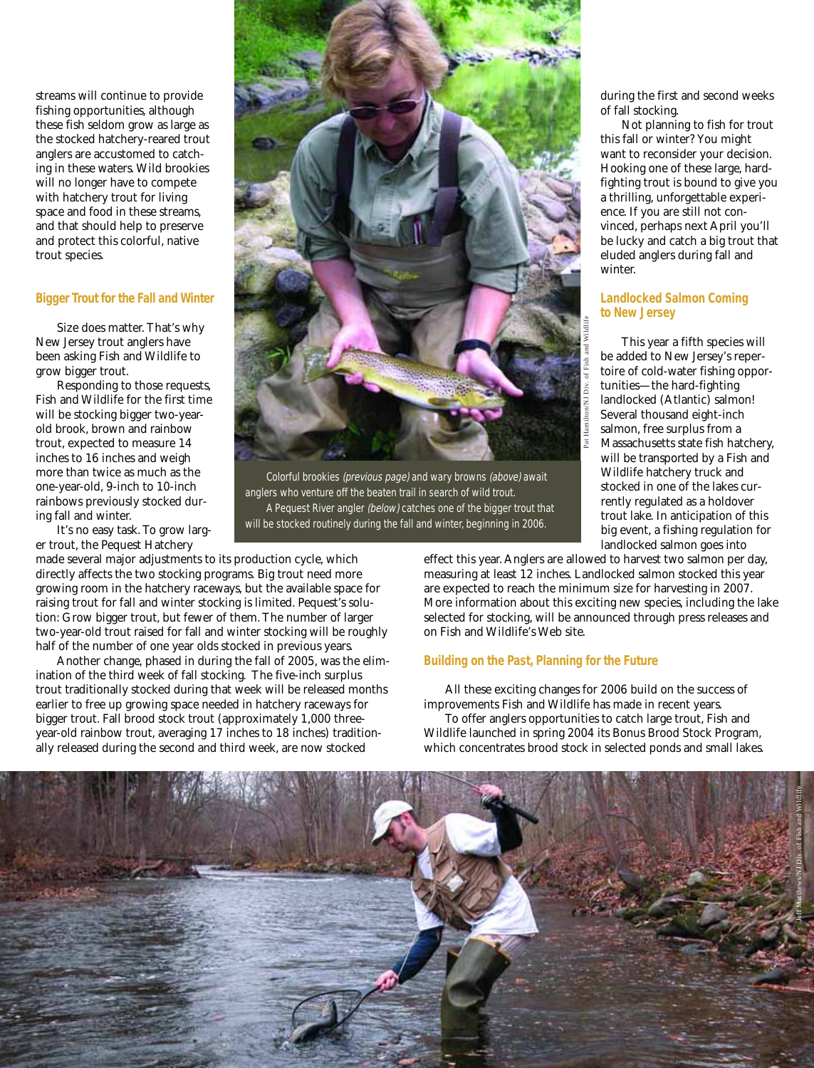streams will continue to provide fishing opportunities, although these fish seldom grow as large as the stocked hatchery-reared trout anglers are accustomed to catching in these waters. Wild brookies will no longer have to compete with hatchery trout for living space and food in these streams, and that should help to preserve and protect this colorful, native trout species.

#### **Bigger Trout for the Fall and Winter**

Size does matter. That's why New Jersey trout anglers have been asking Fish and Wildlife to grow bigger trout.

Responding to those requests, Fish and Wildlife for the first time will be stocking bigger two-yearold brook, brown and rainbow trout, expected to measure 14 inches to 16 inches and weigh more than twice as much as the one-year-old, 9-inch to 10-inch rainbows previously stocked during fall and winter.

It's no easy task. To grow larger trout, the Pequest Hatchery

made several major adjustments to its production cycle, which directly affects the two stocking programs. Big trout need more growing room in the hatchery raceways, but the available space for raising trout for fall and winter stocking is limited. Pequest's solution: Grow bigger trout, but fewer of them. The number of larger two-year-old trout raised for fall and winter stocking will be roughly half of the number of one year olds stocked in previous years.

Another change, phased in during the fall of 2005, was the elimination of the third week of fall stocking. The five-inch surplus trout traditionally stocked during that week will be released months earlier to free up growing space needed in hatchery raceways for bigger trout. Fall brood stock trout (approximately 1,000 threeyear-old rainbow trout, averaging 17 inches to 18 inches) traditionally released during the second and third week, are now stocked



anglers who venture off the beaten trail in search of wild trout. A Pequest River angler (below) catches one of the bigger trout that will be stocked routinely during the fall and winter, beginning in 2006.

during the first and second weeks of fall stocking.

Not planning to fish for trout this fall or winter? You might want to reconsider your decision. Hooking one of these large, hardfighting trout is bound to give you a thrilling, unforgettable experience. If you are still not convinced, perhaps next April you'll be lucky and catch a big trout that eluded anglers during fall and winter.

#### **Landlocked Salmon Coming to New Jersey**

This year a fifth species will be added to New Jersey's repertoire of cold-water fishing opportunities—the hard-fighting landlocked (Atlantic) salmon! Several thousand eight-inch salmon, free surplus from a Massachusetts state fish hatchery, will be transported by a Fish and Wildlife hatchery truck and stocked in one of the lakes currently regulated as a holdover trout lake. In anticipation of this big event, a fishing regulation for landlocked salmon goes into

effect this year. Anglers are allowed to harvest two salmon per day, measuring at least 12 inches. Landlocked salmon stocked this year are expected to reach the minimum size for harvesting in 2007. More information about this exciting new species, including the lake selected for stocking, will be announced through press releases and on Fish and Wildlife's Web site.

#### **Building on the Past, Planning for the Future**

All these exciting changes for 2006 build on the success of improvements Fish and Wildlife has made in recent years. To offer anglers opportunities to catch large trout, Fish and Wildlife launched in spring 2004 its Bonus Brood Stock Program, which concentrates brood stock in selected ponds and small lakes.

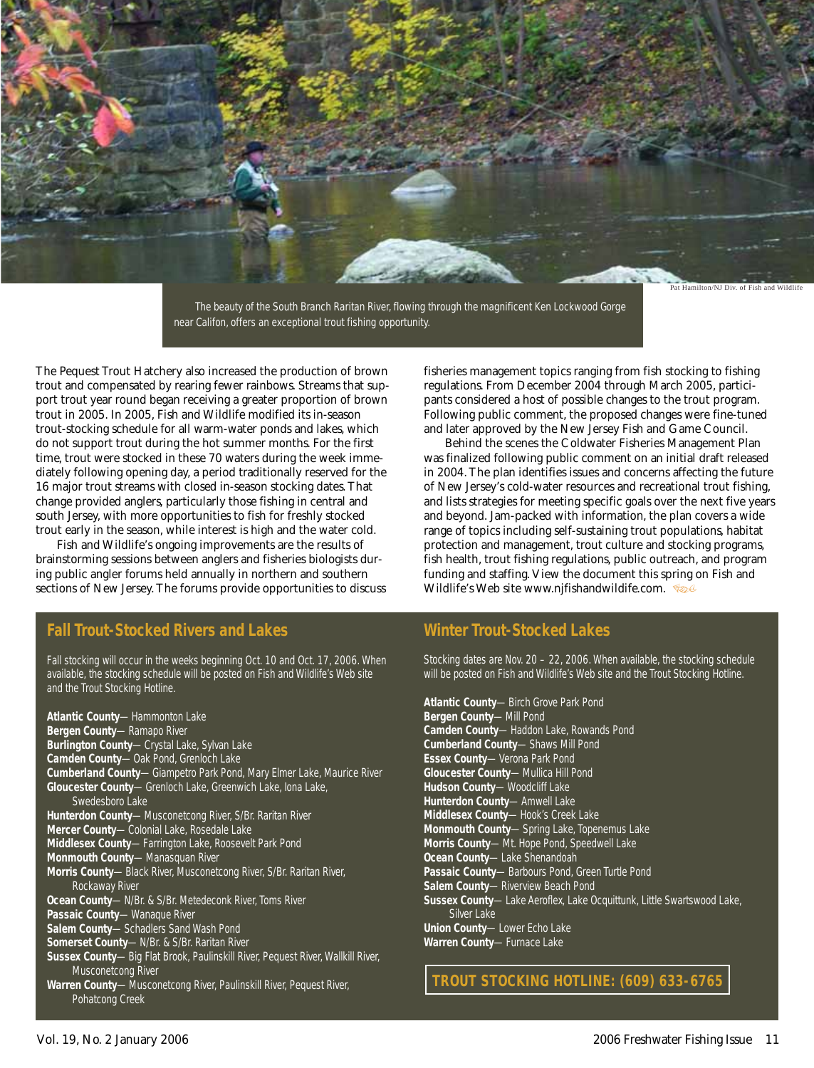

The beauty of the South Branch Raritan River, flowing through the magnificent Ken Lockwood Gorge near Califon, offers an exceptional trout fishing opportunity.

The Pequest Trout Hatchery also increased the production of brown trout and compensated by rearing fewer rainbows. Streams that support trout year round began receiving a greater proportion of brown trout in 2005. In 2005, Fish and Wildlife modified its in-season trout-stocking schedule for all warm-water ponds and lakes, which do not support trout during the hot summer months. For the first time, trout were stocked in these 70 waters during the week immediately following opening day, a period traditionally reserved for the 16 major trout streams with closed in-season stocking dates. That change provided anglers, particularly those fishing in central and south Jersey, with more opportunities to fish for freshly stocked trout early in the season, while interest is high and the water cold.

Fish and Wildlife's ongoing improvements are the results of brainstorming sessions between anglers and fisheries biologists during public angler forums held annually in northern and southern sections of New Jersey. The forums provide opportunities to discuss

#### **Fall Trout-Stocked Rivers and Lakes**

Fall stocking will occur in the weeks beginning Oct. 10 and Oct. 17, 2006. When available, the stocking schedule will be posted on Fish and Wildlife's Web site and the Trout Stocking Hotline.

**Atlantic County**—Hammonton Lake **Bergen County**—Ramapo River **Burlington County**—Crystal Lake, Sylvan Lake **Camden County**—Oak Pond, Grenloch Lake **Cumberland County**—Giampetro Park Pond, Mary Elmer Lake, Maurice River **Gloucester County**—Grenloch Lake, Greenwich Lake, Iona Lake, Swedesboro Lake **Hunterdon County**—Musconetcong River, S/Br. Raritan River **Mercer County**—Colonial Lake, Rosedale Lake **Middlesex County**—Farrington Lake, Roosevelt Park Pond **Monmouth County**—Manasquan River **Morris County**—Black River, Musconetcong River, S/Br. Raritan River, Rockaway River **Ocean County**—N/Br. & S/Br. Metedeconk River, Toms River **Passaic County**—Wanaque River **Salem County**—Schadlers Sand Wash Pond **Somerset County**—N/Br. & S/Br. Raritan River **Sussex County**—Big Flat Brook, Paulinskill River, Pequest River, Wallkill River, Musconetcong River **Warren County**—Musconetcong River, Paulinskill River, Pequest River, Pohatcong Creek

fisheries management topics ranging from fish stocking to fishing regulations. From December 2004 through March 2005, participants considered a host of possible changes to the trout program. Following public comment, the proposed changes were fine-tuned and later approved by the New Jersey Fish and Game Council.

Behind the scenes the Coldwater Fisheries Management Plan was finalized following public comment on an initial draft released in 2004. The plan identifies issues and concerns affecting the future of New Jersey's cold-water resources and recreational trout fishing, and lists strategies for meeting specific goals over the next five years and beyond. Jam-packed with information, the plan covers a wide range of topics including self-sustaining trout populations, habitat protection and management, trout culture and stocking programs, fish health, trout fishing regulations, public outreach, and program funding and staffing. View the document this spring on Fish and Wildlife's Web site www.njfishandwildife.com.

#### **Winter Trout-Stocked Lakes**

Stocking dates are Nov. 20 – 22, 2006. When available, the stocking schedule will be posted on Fish and Wildlife's Web site and the Trout Stocking Hotline.

**Atlantic County**—Birch Grove Park Pond **Bergen County**—Mill Pond **Camden County**—Haddon Lake, Rowands Pond **Cumberland County**—Shaws Mill Pond **Essex County**—Verona Park Pond **Gloucester County**—Mullica Hill Pond **Hudson County**—Woodcliff Lake **Hunterdon County**—Amwell Lake **Middlesex County**—Hook's Creek Lake **Monmouth County**—Spring Lake, Topenemus Lake **Morris County**—Mt. Hope Pond, Speedwell Lake **Ocean County**—Lake Shenandoah **Passaic County**—Barbours Pond, Green Turtle Pond **Salem County**—Riverview Beach Pond **Sussex County**—Lake Aeroflex, Lake Ocquittunk, Little Swartswood Lake, Silver Lake **Union County**—Lower Echo Lake **Warren County**—Furnace Lake

**TROUT STOCKING HOTLINE: (609) 633-6765**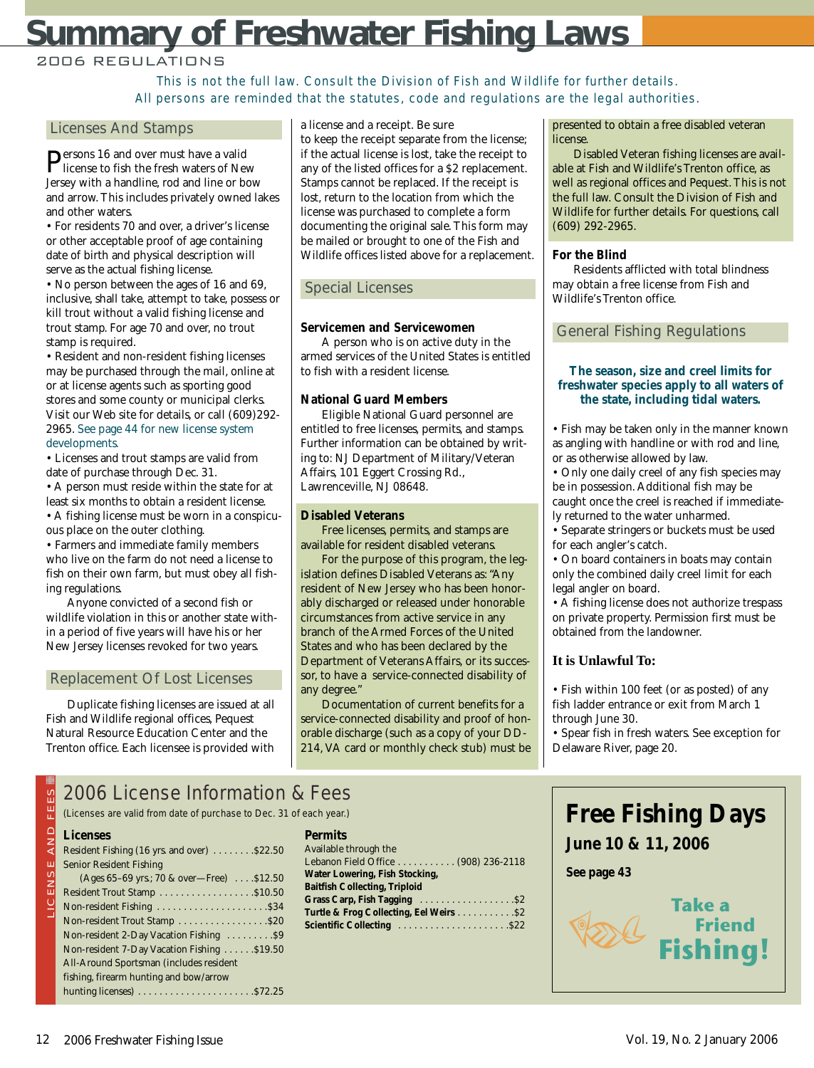# **Summary of Freshwater Fishing Laws**

#### 2006 REGULATIONS

This is not the full law. Consult the Division of Fish and Wildlife for further details. All persons are reminded that the statutes, code and regulations are the legal authorities.

#### Licenses And Stamps

Persons 16 and over must have a valid license to fish the fresh waters of New Jersey with a handline, rod and line or bow and arrow. This includes privately owned lakes and other waters.

• For residents 70 and over, a driver's license or other acceptable proof of age containing date of birth and physical description will serve as the actual fishing license.

• No person between the ages of 16 and 69, inclusive, shall take, attempt to take, possess or kill trout without a valid fishing license and trout stamp. For age 70 and over, no trout stamp is required.

• Resident and non-resident fishing licenses may be purchased through the mail, online at or at license agents such as sporting good stores and some county or municipal clerks. Visit our Web site for details, or call (609)292- 2965. See page 44 for new license system developments.

• Licenses and trout stamps are valid from date of purchase through Dec. 31.

• A person must reside within the state for at least six months to obtain a resident license.

• A fishing license must be worn in a conspicuous place on the outer clothing.

• Farmers and immediate family members who live on the farm do not need a license to fish on their own farm, but must obey all fishing regulations.

Anyone convicted of a second fish or wildlife violation in this or another state within a period of five years will have his or her New Jersey licenses revoked for two years.

#### Replacement Of Lost Licenses

Duplicate fishing licenses are issued at all Fish and Wildlife regional offices, Pequest Natural Resource Education Center and the Trenton office. Each licensee is provided with a license and a receipt. Be sure

to keep the receipt separate from the license; if the actual license is lost, take the receipt to any of the listed offices for a \$2 replacement. Stamps cannot be replaced. If the receipt is lost, return to the location from which the license was purchased to complete a form documenting the original sale. This form may be mailed or brought to one of the Fish and Wildlife offices listed above for a replacement.

#### Special Licenses

#### **Servicemen and Servicewomen**

A person who is on active duty in the armed services of the United States is entitled to fish with a resident license.

#### **National Guard Members**

Eligible National Guard personnel are entitled to free licenses, permits, and stamps. Further information can be obtained by writing to: NJ Department of Military/Veteran Affairs, 101 Eggert Crossing Rd., Lawrenceville, NJ 08648.

#### **Disabled Veterans**

Free licenses, permits, and stamps are available for resident disabled veterans.

For the purpose of this program, the legislation defines Disabled Veterans as: "Any resident of New Jersey who has been honorably discharged or released under honorable circumstances from active service in any branch of the Armed Forces of the United States and who has been declared by the Department of Veterans Affairs, or its successor, to have a service-connected disability of any degree."

Documentation of current benefits for a service-connected disability and proof of honorable discharge (such as a copy of your DD-214, VA card or monthly check stub) must be

#### presented to obtain a free disabled veteran license.

Disabled Veteran fishing licenses are available at Fish and Wildlife's Trenton office, as well as regional offices and Pequest. This is not the full law. Consult the Division of Fish and Wildlife for further details. For questions, call (609) 292-2965.

#### **For the Blind**

Residents afflicted with total blindness may obtain a free license from Fish and Wildlife's Trenton office.

#### General Fishing Regulations

#### **The season, size and creel limits for freshwater species apply to all waters of the state, including tidal waters.**

• Fish may be taken only in the manner known as angling with handline or with rod and line, or as otherwise allowed by law.

• Only one daily creel of any fish species may be in possession. Additional fish may be caught once the creel is reached if immediately returned to the water unharmed.

• Separate stringers or buckets must be used for each angler's catch.

• On board containers in boats may contain only the combined daily creel limit for each legal angler on board.

• A fishing license does not authorize trespass on private property. Permission first must be obtained from the landowner.

#### **It is Unlawful To:**

• Fish within 100 feet (or as posted) of any fish ladder entrance or exit from March 1 through June 30.

• Spear fish in fresh waters. See exception for Delaware River, page 20.

#### i 2006 License Information & Fees

(Licenses are valid from date of purchase to Dec. 31 of each year.)

#### $\bigcirc$ **Licenses**

| ທ<br>⊞                        | 2006 LICENSE INformation                            |
|-------------------------------|-----------------------------------------------------|
| 亞                             | (Licenses are valid from date of purchase to Dec. 3 |
| $\overline{a}$ $\overline{b}$ | <b>Licenses</b>                                     |
|                               | Resident Fishing (16 yrs. and over)  \$22.50        |
|                               | <b>Senior Resident Fishing</b>                      |
| LICENSE                       | (Ages 65-69 yrs.; 70 & over-Free)  . \$12.50        |
|                               |                                                     |
|                               |                                                     |
|                               |                                                     |
|                               | Non-resident 2-Day Vacation Fishing  \$9            |
|                               | Non-resident 7-Day Vacation Fishing  \$19.50        |
|                               | All-Around Sportsman (includes resident             |
|                               | fishing, firearm hunting and bow/arrow              |
|                               |                                                     |

|  | Permits |
|--|---------|
|  |         |

| Available through the                   |  |  |  |  |  |
|-----------------------------------------|--|--|--|--|--|
| Lebanon Field Office (908) 236-2118     |  |  |  |  |  |
| Water Lowering, Fish Stocking,          |  |  |  |  |  |
| <b>Baitfish Collecting, Triploid</b>    |  |  |  |  |  |
|                                         |  |  |  |  |  |
| Turtle & Frog Collecting, Eel Weirs \$2 |  |  |  |  |  |
|                                         |  |  |  |  |  |



**June 10 & 11, 2006**

**See page 43**

Rese

**Fishing!**

**Friend**

**Take a**